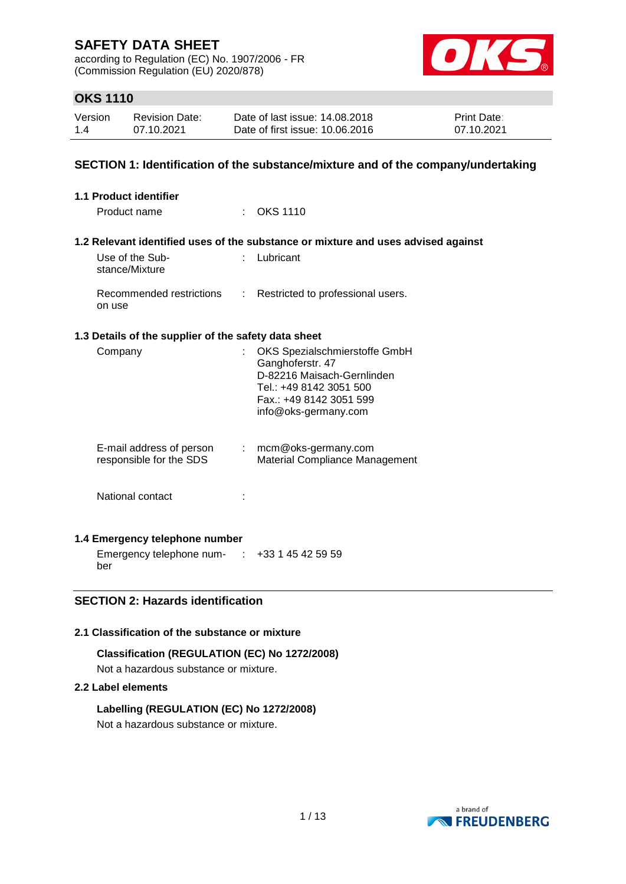according to Regulation (EC) No. 1907/2006 - FR (Commission Regulation (EU) 2020/878)



## **OKS 1110**

| Version | <b>Revision Date:</b> | Date of last issue: 14.08.2018  | <b>Print Date:</b> |
|---------|-----------------------|---------------------------------|--------------------|
| 1.4     | 07.10.2021            | Date of first issue: 10.06.2016 | 07.10.2021         |

### **SECTION 1: Identification of the substance/mixture and of the company/undertaking**

| 1.1 Product identifier                               |   |                                                                                                                                                               |
|------------------------------------------------------|---|---------------------------------------------------------------------------------------------------------------------------------------------------------------|
| Product name                                         |   | OKS 1110                                                                                                                                                      |
|                                                      |   | 1.2 Relevant identified uses of the substance or mixture and uses advised against                                                                             |
| Use of the Sub-<br>stance/Mixture                    |   | Lubricant                                                                                                                                                     |
| Recommended restrictions<br>on use                   | ÷ | Restricted to professional users.                                                                                                                             |
| 1.3 Details of the supplier of the safety data sheet |   |                                                                                                                                                               |
| Company                                              |   | OKS Spezialschmierstoffe GmbH<br>Ganghoferstr. 47<br>D-82216 Maisach-Gernlinden<br>Tel.: +49 8142 3051 500<br>Fax.: +49 8142 3051 599<br>info@oks-germany.com |
| E-mail address of person<br>responsible for the SDS  | ÷ | mcm@oks-germany.com<br>Material Compliance Management                                                                                                         |
| National contact                                     |   |                                                                                                                                                               |

### **1.4 Emergency telephone number**

Emergency telephone num-: +33 1 45 42 59 59 ber

## **SECTION 2: Hazards identification**

### **2.1 Classification of the substance or mixture**

#### **Classification (REGULATION (EC) No 1272/2008)**

Not a hazardous substance or mixture.

### **2.2 Label elements**

### **Labelling (REGULATION (EC) No 1272/2008)**

Not a hazardous substance or mixture.

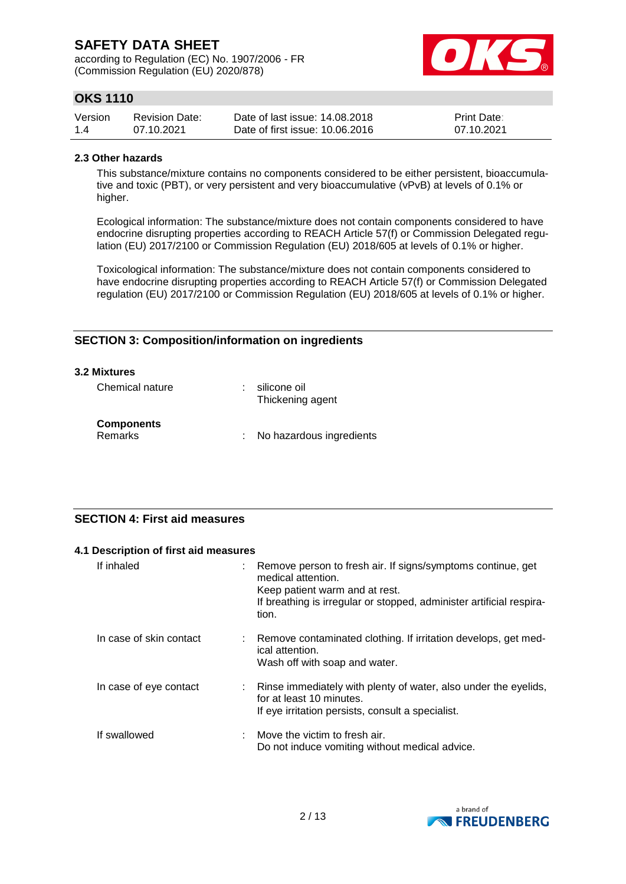according to Regulation (EC) No. 1907/2006 - FR (Commission Regulation (EU) 2020/878)



## **OKS 1110**

| Version | <b>Revision Date:</b> | Date of last issue: 14,08,2018  | <b>Print Date:</b> |
|---------|-----------------------|---------------------------------|--------------------|
| 1.4     | 07.10.2021            | Date of first issue: 10.06.2016 | 07.10.2021         |

#### **2.3 Other hazards**

This substance/mixture contains no components considered to be either persistent, bioaccumulative and toxic (PBT), or very persistent and very bioaccumulative (vPvB) at levels of 0.1% or higher.

Ecological information: The substance/mixture does not contain components considered to have endocrine disrupting properties according to REACH Article 57(f) or Commission Delegated regulation (EU) 2017/2100 or Commission Regulation (EU) 2018/605 at levels of 0.1% or higher.

Toxicological information: The substance/mixture does not contain components considered to have endocrine disrupting properties according to REACH Article 57(f) or Commission Delegated regulation (EU) 2017/2100 or Commission Regulation (EU) 2018/605 at levels of 0.1% or higher.

## **SECTION 3: Composition/information on ingredients**

#### **3.2 Mixtures**

| Chemical nature                     | silicone oil<br>Thickening agent |
|-------------------------------------|----------------------------------|
| <b>Components</b><br><b>Remarks</b> | : No hazardous ingredients       |

## **SECTION 4: First aid measures**

| 4.1 Description of first aid measures |                                                                                                                                                                                                      |
|---------------------------------------|------------------------------------------------------------------------------------------------------------------------------------------------------------------------------------------------------|
| If inhaled<br>÷                       | Remove person to fresh air. If signs/symptoms continue, get<br>medical attention.<br>Keep patient warm and at rest.<br>If breathing is irregular or stopped, administer artificial respira-<br>tion. |
| In case of skin contact               | Remove contaminated clothing. If irritation develops, get med-<br>ical attention.<br>Wash off with soap and water.                                                                                   |
| In case of eye contact                | Rinse immediately with plenty of water, also under the eyelids,<br>for at least 10 minutes.<br>If eye irritation persists, consult a specialist.                                                     |
| If swallowed                          | Move the victim to fresh air.<br>Do not induce vomiting without medical advice.                                                                                                                      |

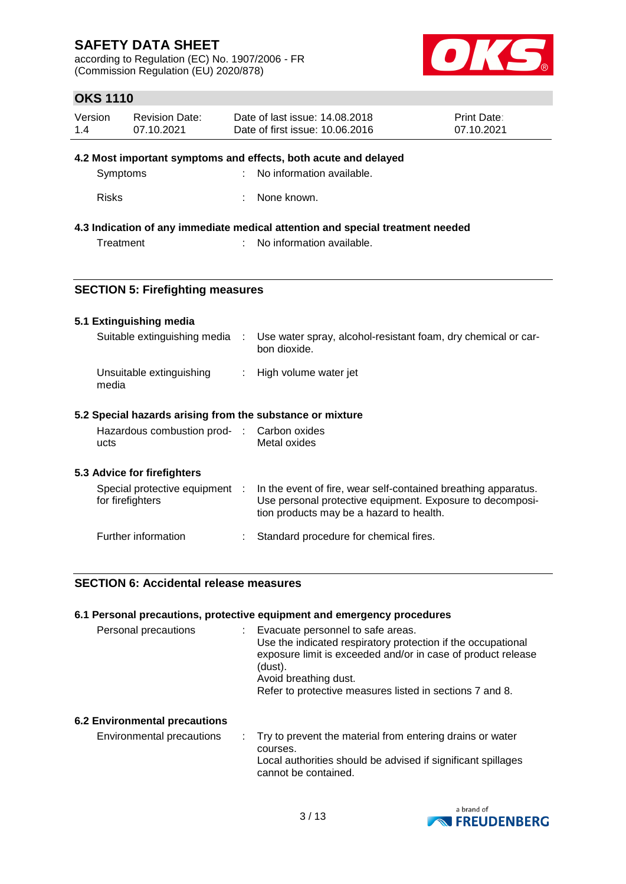according to Regulation (EC) No. 1907/2006 - FR (Commission Regulation (EU) 2020/878)



## **OKS 1110**

| Version | <b>Revision Date:</b> | Date of last issue: 14,08,2018  | <b>Print Date:</b> |
|---------|-----------------------|---------------------------------|--------------------|
| 1.4     | 07.10.2021            | Date of first issue: 10.06.2016 | 07.10.2021         |

#### **4.2 Most important symptoms and effects, both acute and delayed**

| Symptoms | : No information available. |
|----------|-----------------------------|
|          |                             |

Risks : None known.

### **4.3 Indication of any immediate medical attention and special treatment needed**

Treatment : No information available.

### **SECTION 5: Firefighting measures**

#### **5.1 Extinguishing media**

| Suitable extinguishing media      | Use water spray, alcohol-resistant foam, dry chemical or car-<br>bon dioxide. |
|-----------------------------------|-------------------------------------------------------------------------------|
| Unsuitable extinguishing<br>media | : High volume water jet                                                       |

### **5.2 Special hazards arising from the substance or mixture**

|      | Hazardous combustion prod- : Carbon oxides |              |
|------|--------------------------------------------|--------------|
| ucts |                                            | Metal oxides |

#### **5.3 Advice for firefighters**

| Special protective equipment<br>for firefighters | In the event of fire, wear self-contained breathing apparatus.<br>Use personal protective equipment. Exposure to decomposi-<br>tion products may be a hazard to health. |
|--------------------------------------------------|-------------------------------------------------------------------------------------------------------------------------------------------------------------------------|
| Further information                              | : Standard procedure for chemical fires.                                                                                                                                |

### **SECTION 6: Accidental release measures**

#### **6.1 Personal precautions, protective equipment and emergency procedures**

| Personal precautions          | Evacuate personnel to safe areas.<br>Use the indicated respiratory protection if the occupational<br>exposure limit is exceeded and/or in case of product release<br>(dust).<br>Avoid breathing dust.<br>Refer to protective measures listed in sections 7 and 8. |
|-------------------------------|-------------------------------------------------------------------------------------------------------------------------------------------------------------------------------------------------------------------------------------------------------------------|
| : 2 Environmental precautions |                                                                                                                                                                                                                                                                   |

#### **6.2 Environmental precautions**

Environmental precautions : Try to prevent the material from entering drains or water courses. Local authorities should be advised if significant spillages cannot be contained.

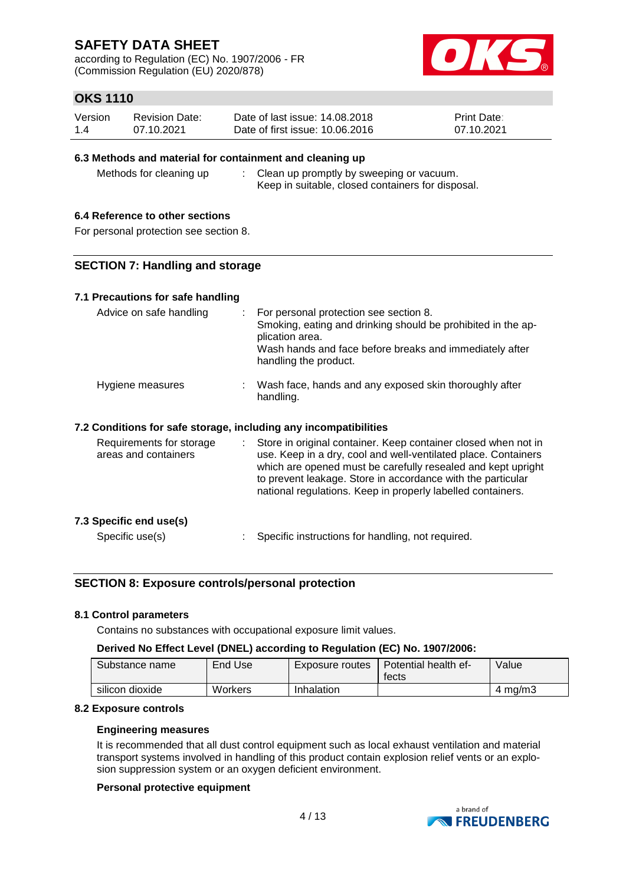according to Regulation (EC) No. 1907/2006 - FR (Commission Regulation (EU) 2020/878)



## **OKS 1110**

| Version | Revision Date: | Date of last issue: 14.08.2018  | <b>Print Date:</b> |
|---------|----------------|---------------------------------|--------------------|
| 1.4     | 07.10.2021     | Date of first issue: 10.06.2016 | 07.10.2021         |

### **6.3 Methods and material for containment and cleaning up**

Methods for cleaning up : Clean up promptly by sweeping or vacuum. Keep in suitable, closed containers for disposal.

### **6.4 Reference to other sections**

For personal protection see section 8.

#### **SECTION 7: Handling and storage**

#### **7.1 Precautions for safe handling**

| Advice on safe handling                                          | : For personal protection see section 8.<br>Smoking, eating and drinking should be prohibited in the ap-<br>plication area.<br>Wash hands and face before breaks and immediately after<br>handling the product.                                                                                                                  |
|------------------------------------------------------------------|----------------------------------------------------------------------------------------------------------------------------------------------------------------------------------------------------------------------------------------------------------------------------------------------------------------------------------|
| Hygiene measures                                                 | : Wash face, hands and any exposed skin thoroughly after<br>handling.                                                                                                                                                                                                                                                            |
| 7.2 Conditions for safe storage, including any incompatibilities |                                                                                                                                                                                                                                                                                                                                  |
| Requirements for storage<br>areas and containers                 | : Store in original container. Keep container closed when not in<br>use. Keep in a dry, cool and well-ventilated place. Containers<br>which are opened must be carefully resealed and kept upright<br>to prevent leakage. Store in accordance with the particular<br>national regulations. Keep in properly labelled containers. |
| 7.3 Specific end use(s)                                          |                                                                                                                                                                                                                                                                                                                                  |

Specific use(s)  $\qquad \qquad$ : Specific instructions for handling, not required.

### **SECTION 8: Exposure controls/personal protection**

#### **8.1 Control parameters**

Contains no substances with occupational exposure limit values.

#### **Derived No Effect Level (DNEL) according to Regulation (EC) No. 1907/2006:**

| Substance name  | End Use | Exposure routes | Potential health ef-<br>tects | Value   |
|-----------------|---------|-----------------|-------------------------------|---------|
| silicon dioxide | Workers | Inhalation      |                               | 4 ma/m3 |

#### **8.2 Exposure controls**

#### **Engineering measures**

It is recommended that all dust control equipment such as local exhaust ventilation and material transport systems involved in handling of this product contain explosion relief vents or an explosion suppression system or an oxygen deficient environment.

#### **Personal protective equipment**

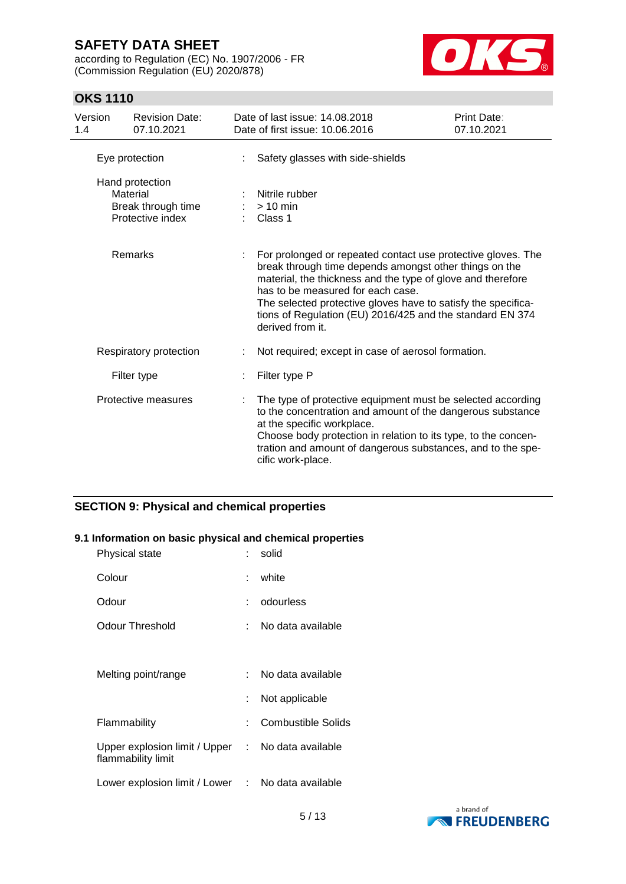according to Regulation (EC) No. 1907/2006 - FR (Commission Regulation (EU) 2020/878)



## **OKS 1110**

| Version<br>1.4 | <b>Revision Date:</b><br>07.10.2021                                   | Date of last issue: 14.08.2018<br>Date of first issue: 10.06.2016                                                                                                                                                                                                                                                                                                            | Print Date:<br>07.10.2021 |
|----------------|-----------------------------------------------------------------------|------------------------------------------------------------------------------------------------------------------------------------------------------------------------------------------------------------------------------------------------------------------------------------------------------------------------------------------------------------------------------|---------------------------|
|                | Eye protection                                                        | Safety glasses with side-shields                                                                                                                                                                                                                                                                                                                                             |                           |
|                | Hand protection<br>Material<br>Break through time<br>Protective index | Nitrile rubber<br>$> 10$ min<br>Class 1                                                                                                                                                                                                                                                                                                                                      |                           |
|                | Remarks                                                               | For prolonged or repeated contact use protective gloves. The<br>break through time depends amongst other things on the<br>material, the thickness and the type of glove and therefore<br>has to be measured for each case.<br>The selected protective gloves have to satisfy the specifica-<br>tions of Regulation (EU) 2016/425 and the standard EN 374<br>derived from it. |                           |
|                | Respiratory protection                                                | Not required; except in case of aerosol formation.                                                                                                                                                                                                                                                                                                                           |                           |
|                | Filter type                                                           | Filter type P                                                                                                                                                                                                                                                                                                                                                                |                           |
|                | Protective measures                                                   | The type of protective equipment must be selected according<br>to the concentration and amount of the dangerous substance<br>at the specific workplace.<br>Choose body protection in relation to its type, to the concen-<br>tration and amount of dangerous substances, and to the spe-<br>cific work-place.                                                                |                           |

## **SECTION 9: Physical and chemical properties**

### **9.1 Information on basic physical and chemical properties**

| Physical state                                                          |    | solid              |
|-------------------------------------------------------------------------|----|--------------------|
| Colour                                                                  | t. | white              |
| Odour                                                                   |    | odourless          |
| Odour Threshold                                                         |    | No data available  |
|                                                                         |    |                    |
| Melting point/range                                                     |    | No data available  |
|                                                                         |    | Not applicable     |
| Flammability                                                            |    | Combustible Solids |
| Upper explosion limit / Upper : No data available<br>flammability limit |    |                    |
| Lower explosion limit / Lower                                           | t. | No data available  |
|                                                                         |    |                    |

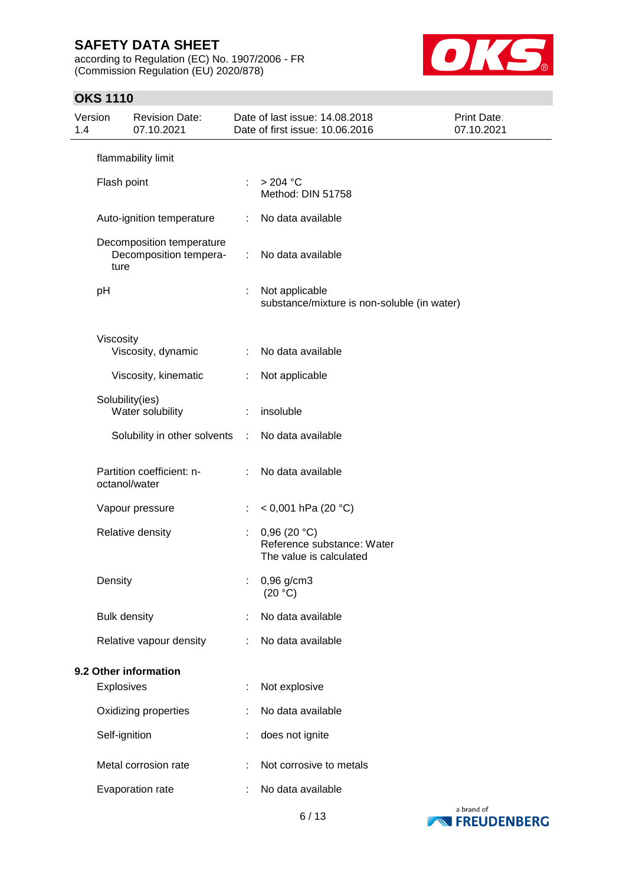according to Regulation (EC) No. 1907/2006 - FR (Commission Regulation (EU) 2020/878)



## **OKS 1110**

| Version<br>1.4 |                     | <b>Revision Date:</b><br>07.10.2021                 |    | Date of last issue: 14.08.2018<br>Date of first issue: 10.06.2016    | Print Date:<br>07.10.2021 |
|----------------|---------------------|-----------------------------------------------------|----|----------------------------------------------------------------------|---------------------------|
|                |                     | flammability limit                                  |    |                                                                      |                           |
|                | Flash point         |                                                     |    | $>204$ °C<br>Method: DIN 51758                                       |                           |
|                |                     | Auto-ignition temperature                           |    | No data available                                                    |                           |
|                | ture                | Decomposition temperature<br>Decomposition tempera- | ÷. | No data available                                                    |                           |
|                | pH                  |                                                     |    | Not applicable<br>substance/mixture is non-soluble (in water)        |                           |
|                | Viscosity           | Viscosity, dynamic                                  | ÷. | No data available                                                    |                           |
|                |                     | Viscosity, kinematic                                | ÷  | Not applicable                                                       |                           |
|                | Solubility(ies)     | Water solubility                                    | ÷  | insoluble                                                            |                           |
|                |                     | Solubility in other solvents                        | ÷  | No data available                                                    |                           |
|                | octanol/water       | Partition coefficient: n-                           |    | No data available                                                    |                           |
|                |                     | Vapour pressure                                     |    | < 0,001 hPa (20 °C)                                                  |                           |
|                |                     | Relative density                                    | ÷. | 0,96(20 °C)<br>Reference substance: Water<br>The value is calculated |                           |
|                | Density             |                                                     |    | 0,96 g/cm3<br>(20 °C)                                                |                           |
|                | <b>Bulk density</b> |                                                     |    | No data available                                                    |                           |
|                |                     | Relative vapour density                             | ÷  | No data available                                                    |                           |
|                |                     | 9.2 Other information                               |    |                                                                      |                           |
|                | Explosives          |                                                     |    | Not explosive                                                        |                           |
|                |                     | Oxidizing properties                                |    | No data available                                                    |                           |
|                | Self-ignition       |                                                     |    | does not ignite                                                      |                           |
|                |                     | Metal corrosion rate                                |    | Not corrosive to metals                                              |                           |
|                |                     | Evaporation rate                                    |    | No data available                                                    |                           |

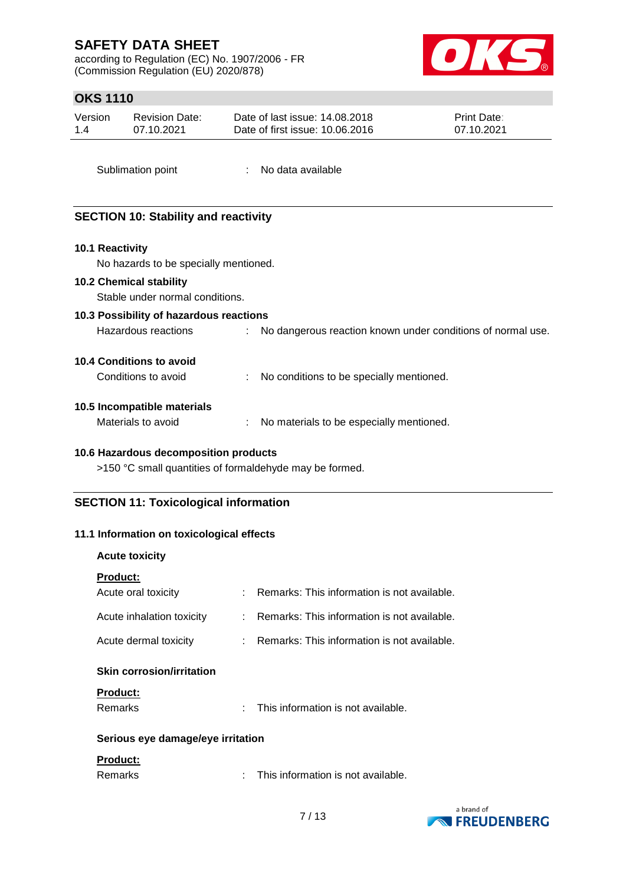according to Regulation (EC) No. 1907/2006 - FR (Commission Regulation (EU) 2020/878)



## **OKS 1110**

| Version | Revision Date: | Date of last issue: 14.08.2018  | <b>Print Date:</b> |
|---------|----------------|---------------------------------|--------------------|
| 1.4     | 07.10.2021     | Date of first issue: 10.06.2016 | 07.10.2021         |

Sublimation point : No data available

## **SECTION 10: Stability and reactivity**

#### **10.1 Reactivity**

No hazards to be specially mentioned.

#### **10.2 Chemical stability**

Stable under normal conditions.

## **10.3 Possibility of hazardous reactions** Hazardous reactions : No dangerous reaction known under conditions of normal use.

#### **10.4 Conditions to avoid**

| Conditions to avoid |  | No conditions to be specially mentioned. |
|---------------------|--|------------------------------------------|
|---------------------|--|------------------------------------------|

### **10.5 Incompatible materials**

Materials to avoid : No materials to be especially mentioned.

#### **10.6 Hazardous decomposition products**

>150 °C small quantities of formaldehyde may be formed.

## **SECTION 11: Toxicological information**

#### **11.1 Information on toxicological effects**

#### **Acute toxicity**

| <b>Product:</b>                   |    |                                             |  |  |
|-----------------------------------|----|---------------------------------------------|--|--|
| Acute oral toxicity               | ٠  | Remarks: This information is not available. |  |  |
| Acute inhalation toxicity         | ۰. | Remarks: This information is not available. |  |  |
| Acute dermal toxicity             |    | Remarks: This information is not available. |  |  |
| <b>Skin corrosion/irritation</b>  |    |                                             |  |  |
| <b>Product:</b>                   |    |                                             |  |  |
| <b>Remarks</b>                    |    | This information is not available.          |  |  |
| Serious eye damage/eye irritation |    |                                             |  |  |
| <b>Product:</b>                   |    |                                             |  |  |



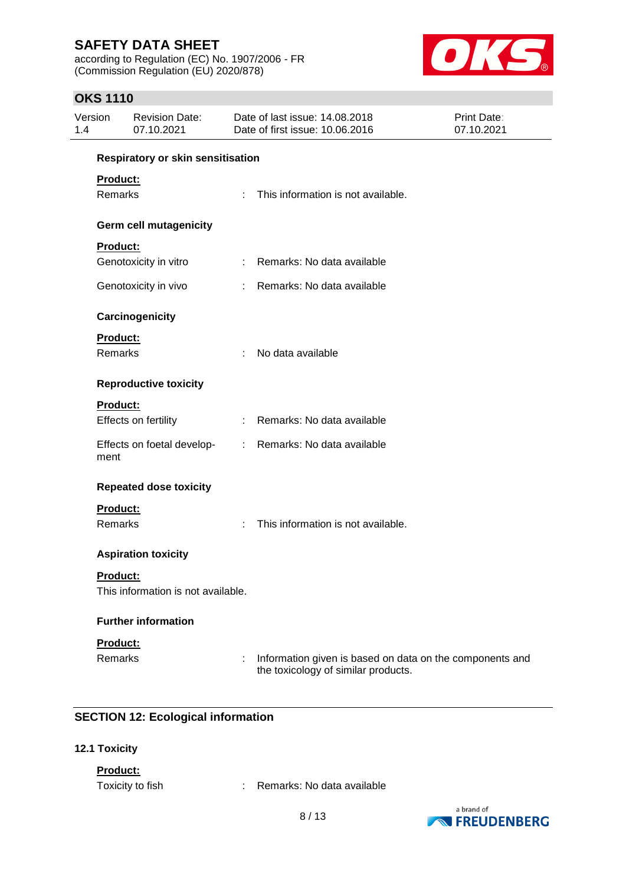according to Regulation (EC) No. 1907/2006 - FR (Commission Regulation (EU) 2020/878)



## **OKS 1110**

| Version<br>1.4 | <b>Revision Date:</b><br>07.10.2021 |   | Date of last issue: 14.08.2018<br>Date of first issue: 10.06.2016                               | <b>Print Date:</b><br>07.10.2021 |
|----------------|-------------------------------------|---|-------------------------------------------------------------------------------------------------|----------------------------------|
|                | Respiratory or skin sensitisation   |   |                                                                                                 |                                  |
|                | Product:                            |   |                                                                                                 |                                  |
|                | Remarks                             |   | This information is not available.                                                              |                                  |
|                | Germ cell mutagenicity              |   |                                                                                                 |                                  |
|                | Product:                            |   |                                                                                                 |                                  |
|                | Genotoxicity in vitro               |   | : Remarks: No data available                                                                    |                                  |
|                | Genotoxicity in vivo                | ÷ | Remarks: No data available                                                                      |                                  |
|                | Carcinogenicity                     |   |                                                                                                 |                                  |
|                | Product:                            |   |                                                                                                 |                                  |
|                | Remarks                             |   | No data available                                                                               |                                  |
|                | <b>Reproductive toxicity</b>        |   |                                                                                                 |                                  |
|                | Product:                            |   |                                                                                                 |                                  |
|                | Effects on fertility                |   | : Remarks: No data available                                                                    |                                  |
| ment           | Effects on foetal develop-          |   | : Remarks: No data available                                                                    |                                  |
|                | <b>Repeated dose toxicity</b>       |   |                                                                                                 |                                  |
|                | Product:                            |   |                                                                                                 |                                  |
|                | Remarks                             | ÷ | This information is not available.                                                              |                                  |
|                | <b>Aspiration toxicity</b>          |   |                                                                                                 |                                  |
|                | <b>Product:</b>                     |   |                                                                                                 |                                  |
|                | This information is not available.  |   |                                                                                                 |                                  |
|                | <b>Further information</b>          |   |                                                                                                 |                                  |
|                | Product:                            |   |                                                                                                 |                                  |
|                | <b>Remarks</b>                      |   | Information given is based on data on the components and<br>the toxicology of similar products. |                                  |

## **SECTION 12: Ecological information**

### **12.1 Toxicity**

**Product:**

Toxicity to fish : Remarks: No data available

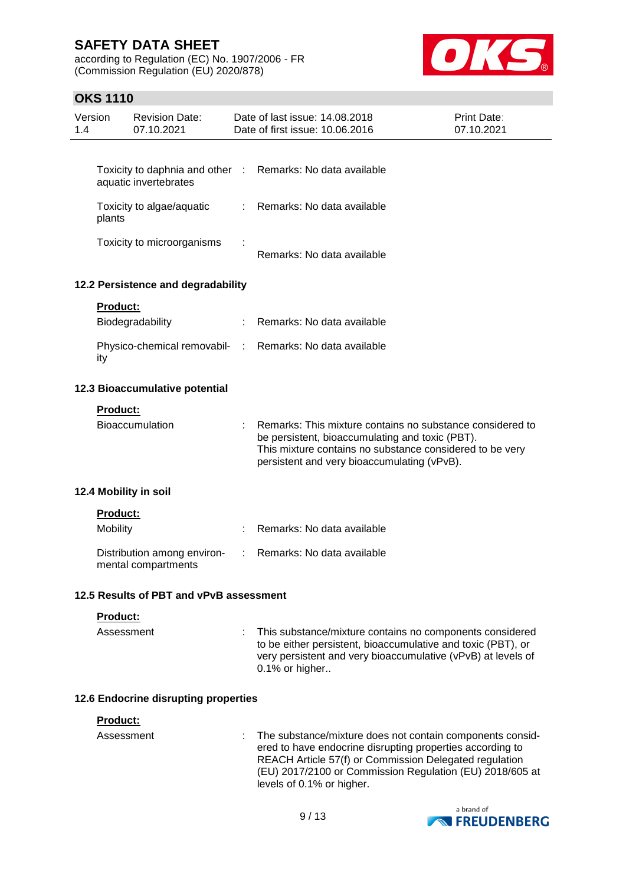according to Regulation (EC) No. 1907/2006 - FR (Commission Regulation (EU) 2020/878)



## **OKS 1110**

| Version<br>1.4 |                 | <b>Revision Date:</b><br>07.10.2021                      |               | Date of last issue: 14.08.2018<br>Date of first issue: 10.06.2016 |                                                                                                                                                                                                                                              | <b>Print Date:</b><br>07.10.2021 |
|----------------|-----------------|----------------------------------------------------------|---------------|-------------------------------------------------------------------|----------------------------------------------------------------------------------------------------------------------------------------------------------------------------------------------------------------------------------------------|----------------------------------|
|                |                 |                                                          |               |                                                                   |                                                                                                                                                                                                                                              |                                  |
|                |                 | Toxicity to daphnia and other :<br>aquatic invertebrates |               | Remarks: No data available                                        |                                                                                                                                                                                                                                              |                                  |
|                | plants          | Toxicity to algae/aquatic                                | $\mathcal{L}$ | Remarks: No data available                                        |                                                                                                                                                                                                                                              |                                  |
|                |                 | Toxicity to microorganisms                               |               | Remarks: No data available                                        |                                                                                                                                                                                                                                              |                                  |
|                |                 | 12.2 Persistence and degradability                       |               |                                                                   |                                                                                                                                                                                                                                              |                                  |
|                | <b>Product:</b> |                                                          |               |                                                                   |                                                                                                                                                                                                                                              |                                  |
|                |                 | Biodegradability                                         |               | Remarks: No data available                                        |                                                                                                                                                                                                                                              |                                  |
|                | ity             | Physico-chemical removabil- :                            |               | Remarks: No data available                                        |                                                                                                                                                                                                                                              |                                  |
|                |                 | 12.3 Bioaccumulative potential                           |               |                                                                   |                                                                                                                                                                                                                                              |                                  |
|                | <b>Product:</b> | Bioaccumulation                                          |               |                                                                   | Remarks: This mixture contains no substance considered to<br>be persistent, bioaccumulating and toxic (PBT).<br>This mixture contains no substance considered to be very                                                                     |                                  |
|                |                 |                                                          |               |                                                                   | persistent and very bioaccumulating (vPvB).                                                                                                                                                                                                  |                                  |
|                |                 | 12.4 Mobility in soil                                    |               |                                                                   |                                                                                                                                                                                                                                              |                                  |
|                | <b>Product:</b> |                                                          |               |                                                                   |                                                                                                                                                                                                                                              |                                  |
|                | Mobility        |                                                          |               | Remarks: No data available                                        |                                                                                                                                                                                                                                              |                                  |
|                |                 | Distribution among environ-<br>mental compartments       |               | Remarks: No data available                                        |                                                                                                                                                                                                                                              |                                  |
|                |                 | 12.5 Results of PBT and vPvB assessment                  |               |                                                                   |                                                                                                                                                                                                                                              |                                  |
|                | Product:        |                                                          |               |                                                                   |                                                                                                                                                                                                                                              |                                  |
|                | Assessment      |                                                          |               | 0.1% or higher                                                    | This substance/mixture contains no components considered<br>to be either persistent, bioaccumulative and toxic (PBT), or<br>very persistent and very bioaccumulative (vPvB) at levels of                                                     |                                  |
|                |                 | 12.6 Endocrine disrupting properties                     |               |                                                                   |                                                                                                                                                                                                                                              |                                  |
|                | Product:        |                                                          |               |                                                                   |                                                                                                                                                                                                                                              |                                  |
|                | Assessment      |                                                          |               | levels of 0.1% or higher.                                         | The substance/mixture does not contain components consid-<br>ered to have endocrine disrupting properties according to<br>REACH Article 57(f) or Commission Delegated regulation<br>(EU) 2017/2100 or Commission Regulation (EU) 2018/605 at |                                  |

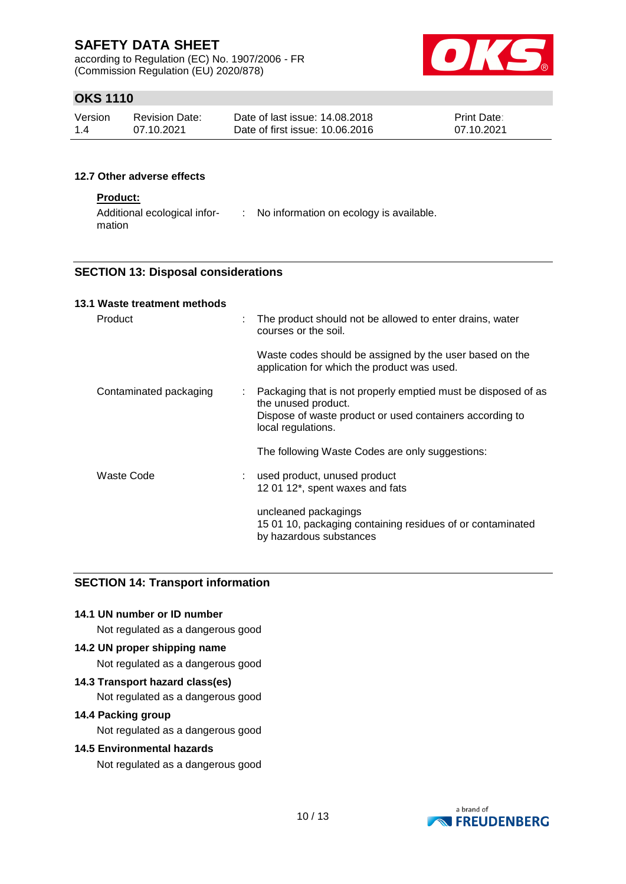according to Regulation (EC) No. 1907/2006 - FR (Commission Regulation (EU) 2020/878)



## **OKS 1110**

| Version | <b>Revision Date:</b> | Date of last issue: 14,08,2018  | <b>Print Date:</b> |
|---------|-----------------------|---------------------------------|--------------------|
| 1.4     | 07.10.2021            | Date of first issue: 10.06.2016 | 07.10.2021         |

#### **12.7 Other adverse effects**

### **Product:**

| Additional ecological infor- | No information on ecology is available. |
|------------------------------|-----------------------------------------|
| mation                       |                                         |

### **SECTION 13: Disposal considerations**

#### **13.1 Waste treatment methods**

| Product                      | The product should not be allowed to enter drains, water<br>courses or the soil.                              |
|------------------------------|---------------------------------------------------------------------------------------------------------------|
|                              | Waste codes should be assigned by the user based on the<br>application for which the product was used.        |
| Contaminated packaging<br>t. | Packaging that is not properly emptied must be disposed of as<br>the unused product.                          |
|                              | Dispose of waste product or used containers according to<br>local regulations.                                |
|                              | The following Waste Codes are only suggestions:                                                               |
| Waste Code                   | used product, unused product                                                                                  |
|                              | 12 01 12*, spent waxes and fats                                                                               |
|                              | uncleaned packagings<br>15 01 10, packaging containing residues of or contaminated<br>by hazardous substances |

#### **SECTION 14: Transport information**

### **14.1 UN number or ID number**

Not regulated as a dangerous good

#### **14.2 UN proper shipping name**

Not regulated as a dangerous good

### **14.3 Transport hazard class(es)**

Not regulated as a dangerous good

#### **14.4 Packing group**

Not regulated as a dangerous good

#### **14.5 Environmental hazards**

Not regulated as a dangerous good

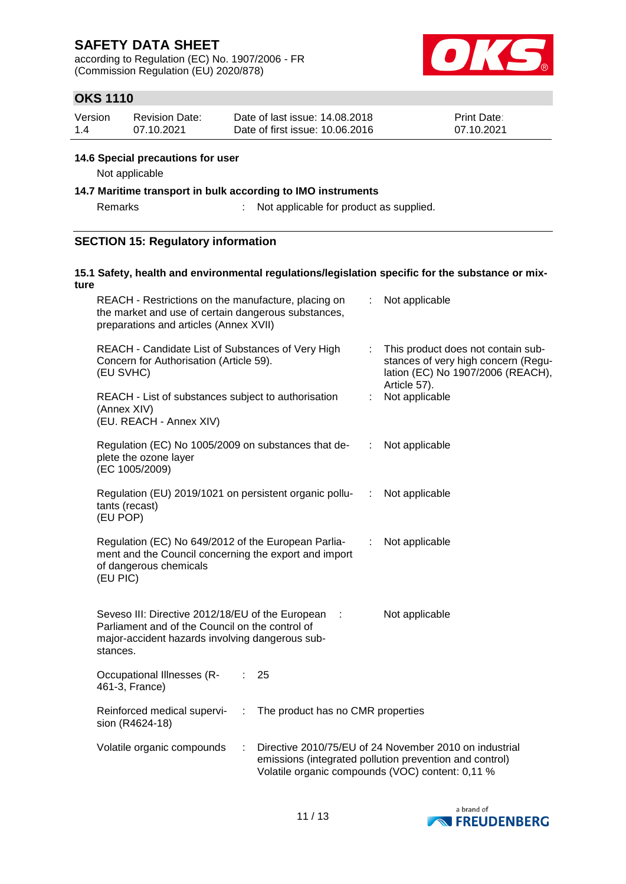according to Regulation (EC) No. 1907/2006 - FR (Commission Regulation (EU) 2020/878)



## **OKS 1110**

| Version | <b>Revision Date:</b> | Date of last issue: 14,08,2018  | <b>Print Date:</b> |
|---------|-----------------------|---------------------------------|--------------------|
| 1.4     | 07.10.2021            | Date of first issue: 10.06.2016 | 07.10.2021         |

#### **14.6 Special precautions for user**

Not applicable

#### **14.7 Maritime transport in bulk according to IMO instruments**

Remarks : Not applicable for product as supplied.

### **SECTION 15: Regulatory information**

### **15.1 Safety, health and environmental regulations/legislation specific for the substance or mixture**

| REACH - Restrictions on the manufacture, placing on<br>the market and use of certain dangerous substances,<br>preparations and articles (Annex XVII)               |                                   |    | Not applicable                                                                                                                                                        |
|--------------------------------------------------------------------------------------------------------------------------------------------------------------------|-----------------------------------|----|-----------------------------------------------------------------------------------------------------------------------------------------------------------------------|
| REACH - Candidate List of Substances of Very High<br>Concern for Authorisation (Article 59).<br>(EU SVHC)                                                          |                                   |    | This product does not contain sub-<br>stances of very high concern (Regu-<br>lation (EC) No 1907/2006 (REACH),<br>Article 57).                                        |
| REACH - List of substances subject to authorisation<br>(Annex XIV)<br>(EU. REACH - Annex XIV)                                                                      |                                   | ÷  | Not applicable                                                                                                                                                        |
| Regulation (EC) No 1005/2009 on substances that de-<br>plete the ozone layer<br>(EC 1005/2009)                                                                     |                                   | ÷. | Not applicable                                                                                                                                                        |
| Regulation (EU) 2019/1021 on persistent organic pollu-<br>tants (recast)<br>(EU POP)                                                                               |                                   | ÷  | Not applicable                                                                                                                                                        |
| Regulation (EC) No 649/2012 of the European Parlia-<br>ment and the Council concerning the export and import<br>of dangerous chemicals<br>(EU PIC)                 |                                   |    | Not applicable                                                                                                                                                        |
| Seveso III: Directive 2012/18/EU of the European<br>Parliament and of the Council on the control of<br>major-accident hazards involving dangerous sub-<br>stances. | $\cdot$ :                         |    | Not applicable                                                                                                                                                        |
| Occupational Illnesses (R-<br>461-3, France)                                                                                                                       | 25                                |    |                                                                                                                                                                       |
| Reinforced medical supervi-<br>÷<br>sion (R4624-18)                                                                                                                | The product has no CMR properties |    |                                                                                                                                                                       |
| Volatile organic compounds<br>÷                                                                                                                                    |                                   |    | Directive 2010/75/EU of 24 November 2010 on industrial<br>emissions (integrated pollution prevention and control)<br>Volatile organic compounds (VOC) content: 0,11 % |

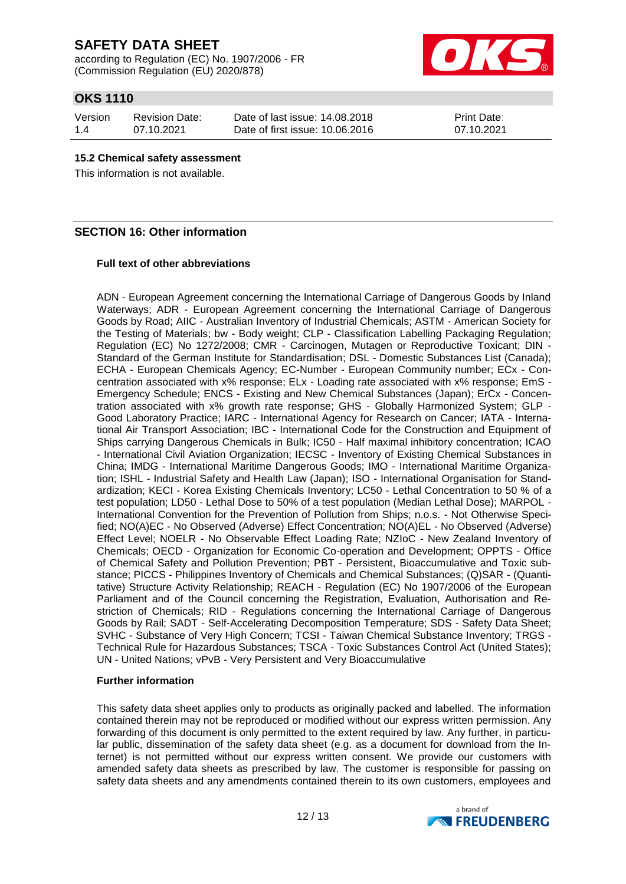according to Regulation (EC) No. 1907/2006 - FR (Commission Regulation (EU) 2020/878)



## **OKS 1110**

| Version | <b>Revision Date:</b> |
|---------|-----------------------|
| 1.4     | 07.10.2021            |

Date of last issue: 14.08.2018 Date of first issue: 10.06.2016

Print Date: 07.10.2021

### **15.2 Chemical safety assessment**

This information is not available.

## **SECTION 16: Other information**

#### **Full text of other abbreviations**

ADN - European Agreement concerning the International Carriage of Dangerous Goods by Inland Waterways; ADR - European Agreement concerning the International Carriage of Dangerous Goods by Road; AIIC - Australian Inventory of Industrial Chemicals; ASTM - American Society for the Testing of Materials; bw - Body weight; CLP - Classification Labelling Packaging Regulation; Regulation (EC) No 1272/2008; CMR - Carcinogen, Mutagen or Reproductive Toxicant; DIN - Standard of the German Institute for Standardisation; DSL - Domestic Substances List (Canada); ECHA - European Chemicals Agency; EC-Number - European Community number; ECx - Concentration associated with x% response; ELx - Loading rate associated with x% response; EmS - Emergency Schedule; ENCS - Existing and New Chemical Substances (Japan); ErCx - Concentration associated with x% growth rate response; GHS - Globally Harmonized System; GLP - Good Laboratory Practice; IARC - International Agency for Research on Cancer; IATA - International Air Transport Association; IBC - International Code for the Construction and Equipment of Ships carrying Dangerous Chemicals in Bulk; IC50 - Half maximal inhibitory concentration; ICAO - International Civil Aviation Organization; IECSC - Inventory of Existing Chemical Substances in China; IMDG - International Maritime Dangerous Goods; IMO - International Maritime Organization; ISHL - Industrial Safety and Health Law (Japan); ISO - International Organisation for Standardization; KECI - Korea Existing Chemicals Inventory; LC50 - Lethal Concentration to 50 % of a test population; LD50 - Lethal Dose to 50% of a test population (Median Lethal Dose); MARPOL - International Convention for the Prevention of Pollution from Ships; n.o.s. - Not Otherwise Specified; NO(A)EC - No Observed (Adverse) Effect Concentration; NO(A)EL - No Observed (Adverse) Effect Level; NOELR - No Observable Effect Loading Rate; NZIoC - New Zealand Inventory of Chemicals; OECD - Organization for Economic Co-operation and Development; OPPTS - Office of Chemical Safety and Pollution Prevention; PBT - Persistent, Bioaccumulative and Toxic substance; PICCS - Philippines Inventory of Chemicals and Chemical Substances; (Q)SAR - (Quantitative) Structure Activity Relationship; REACH - Regulation (EC) No 1907/2006 of the European Parliament and of the Council concerning the Registration, Evaluation, Authorisation and Restriction of Chemicals; RID - Regulations concerning the International Carriage of Dangerous Goods by Rail; SADT - Self-Accelerating Decomposition Temperature; SDS - Safety Data Sheet; SVHC - Substance of Very High Concern; TCSI - Taiwan Chemical Substance Inventory; TRGS - Technical Rule for Hazardous Substances; TSCA - Toxic Substances Control Act (United States); UN - United Nations; vPvB - Very Persistent and Very Bioaccumulative

#### **Further information**

This safety data sheet applies only to products as originally packed and labelled. The information contained therein may not be reproduced or modified without our express written permission. Any forwarding of this document is only permitted to the extent required by law. Any further, in particular public, dissemination of the safety data sheet (e.g. as a document for download from the Internet) is not permitted without our express written consent. We provide our customers with amended safety data sheets as prescribed by law. The customer is responsible for passing on safety data sheets and any amendments contained therein to its own customers, employees and